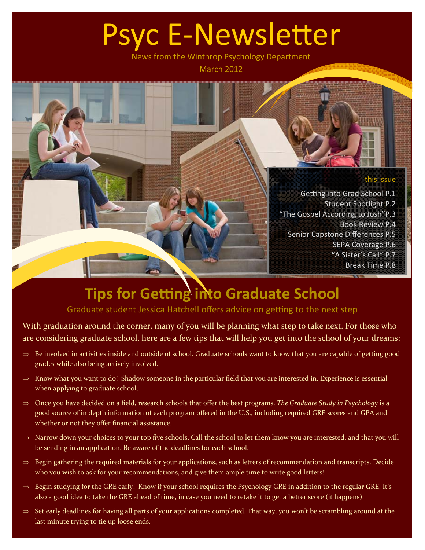# Psyc E-Newsletter

News from the Winthrop Psychology Department March 2012

### this issue

Getting into Grad School P.1 Student Spotlight P.2 "The Gospel According to Josh"P.3 Book Review P.4 Senior Capstone Differences P.5 SEPA Coverage P.6 "A Sister's Call" P.7 Break Time P.8

## **Tips for Getting into Graduate School**

Graduate student Jessica Hatchell offers advice on getting to the next step

With graduation around the corner, many of you will be planning what step to take next. For those who are considering graduate school, here are a few tips that will help you get into the school of your dreams:

- $\Rightarrow$  Be involved in activities inside and outside of school. Graduate schools want to know that you are capable of getting good grades while also being actively involved.
- $\Rightarrow$  Know what you want to do! Shadow someone in the particular field that you are interested in. Experience is essential when applying to graduate school.
- Once you have decided on a field, research schools that offer the best programs. *The Graduate Study in Psychology* is a good source of in depth information of each program offered in the U.S., including required GRE scores and GPA and whether or not they offer financial assistance.
- $\Rightarrow$  Narrow down your choices to your top five schools. Call the school to let them know you are interested, and that you will be sending in an application. Be aware of the deadlines for each school.
- $\Rightarrow$  Begin gathering the required materials for your applications, such as letters of recommendation and transcripts. Decide who you wish to ask for your recommendations, and give them ample time to write good letters!
- $\Rightarrow$  Begin studying for the GRE early! Know if your school requires the Psychology GRE in addition to the regular GRE. It's also a good idea to take the GRE ahead of time, in case you need to retake it to get a better score (it happens).
- $\Rightarrow$  Set early deadlines for having all parts of your applications completed. That way, you won't be scrambling around at the last minute trying to tie up loose ends.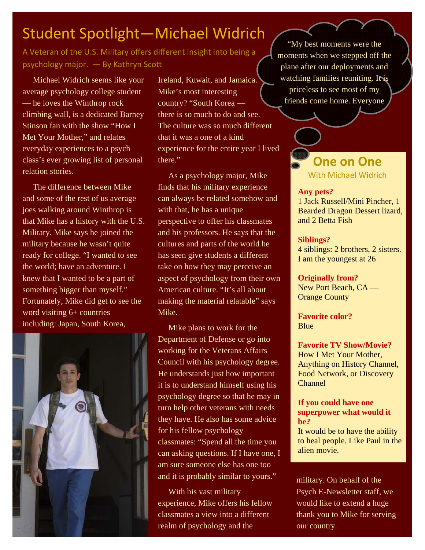## Student Spotlight—Michael Widrich

A Veteran of the U.S. Military offers different insight into being a psychology major. - By Kathryn Scott

 Michael Widrich seems like your average psychology college student — he loves the Winthrop rock climbing wall, is a dedicated Barney Stinson fan with the show "How I Met Your Mother," and relates everyday experiences to a psych class's ever growing list of personal relation stories.

 The difference between Mike and some of the rest of us average joes walking around Winthrop is that Mike has a history with the U.S. Military. Mike says he joined the military because he wasn't quite ready for college. "I wanted to see the world; have an adventure. I knew that I wanted to be a part of something bigger than myself." Fortunately, Mike did get to see the word visiting 6+ countries including: Japan, South Korea,



Ireland, Kuwait, and Jamaica. Mike's most interesting country? "South Korea there is so much to do and see. The culture was so much different that it was a one of a kind experience for the entire year I lived there."

 As a psychology major, Mike finds that his military experience can always be related somehow and with that, he has a unique perspective to offer his classmates and his professors. He says that the cultures and parts of the world he has seen give students a different take on how they may perceive an aspect of psychology from their own American culture. "It's all about making the material relatable" says Mike.

 Mike plans to work for the Department of Defense or go into working for the Veterans Affairs Council with his psychology degree. He understands just how important it is to understand himself using his psychology degree so that he may in turn help other veterans with needs they have. He also has some advice for his fellow psychology classmates: "Spend all the time you can asking questions. If I have one, I am sure someone else has one too and it is probably similar to yours."

 With his vast military experience, Mike offers his fellow classmates a view into a different realm of psychology and the

"My best moments were the moments when we stepped off the plane after our deployments and watching families reuniting. It is priceless to see most of my friends come home. Everyone

### **One on One**  With Michael Widrich

#### **Any pets?**

1 Jack Russell/Mini Pincher, 1 Bearded Dragon Dessert lizard, and 2 Betta Fish

### **Siblings?**

4 siblings: 2 brothers, 2 sisters. I am the youngest at 26

**Originally from?** 

New Port Beach, CA — Orange County

**Favorite color? Blue** 

**Favorite TV Show/Movie?**  How I Met Your Mother, Anything on History Channel, Food Network, or Discovery Channel

#### **If you could have one superpower what would it be?**

It would be to have the ability to heal people. Like Paul in the alien movie.

military. On behalf of the Psych E-Newsletter staff, we would like to extend a huge thank you to Mike for serving our country.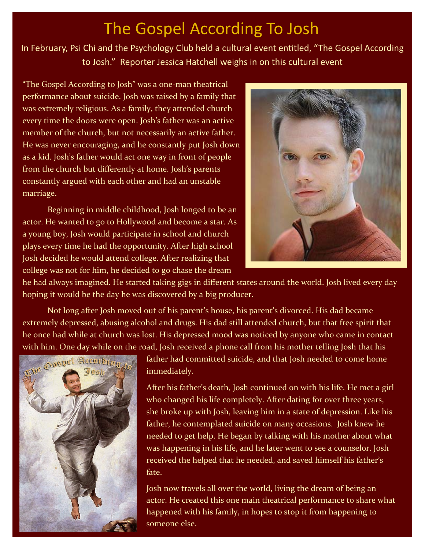## The Gospel According To Josh

In February, Psi Chi and the Psychology Club held a cultural event entitled, "The Gospel According to Josh." Reporter Jessica Hatchell weighs in on this cultural event

"The Gospel According to Josh" was a one‐man theatrical performance about suicide. Josh was raised by a family that was extremely religious. As a family, they attended church every time the doors were open. Josh's father was an active member of the church, but not necessarily an active father. He was never encouraging, and he constantly put Josh down as a kid. Josh's father would act one way in front of people from the church but differently at home. Josh's parents constantly argued with each other and had an unstable marriage.

Beginning in middle childhood, Josh longed to be an actor. He wanted to go to Hollywood and become a star. As a young boy, Josh would participate in school and church plays every time he had the opportunity. After high school Josh decided he would attend college. After realizing that college was not for him, he decided to go chase the dream



he had always imagined. He started taking gigs in different states around the world. Josh lived every day hoping it would be the day he was discovered by a big producer.

Not long after Josh moved out of his parent's house, his parent's divorced. His dad became extremely depressed, abusing alcohol and drugs. His dad still attended church, but that free spirit that he once had while at church was lost. His depressed mood was noticed by anyone who came in contact



with him. One day while on the road, Josh received a phone call from his mother telling Josh that his father had committed suicide, and that Josh needed to come home **Suspet Structure** immediately father had committed suicide, and that Josh needed to come home immediately.

> After his father's death, Josh continued on with his life. He met a girl who changed his life completely. After dating for over three years, she broke up with Josh, leaving him in a state of depression. Like his father, he contemplated suicide on many occasions. Josh knew he needed to get help. He began by talking with his mother about what was happening in his life, and he later went to see a counselor. Josh received the helped that he needed, and saved himself his father's fate.

> Josh now travels all over the world, living the dream of being an actor. He created this one main theatrical performance to share what happened with his family, in hopes to stop it from happening to someone else.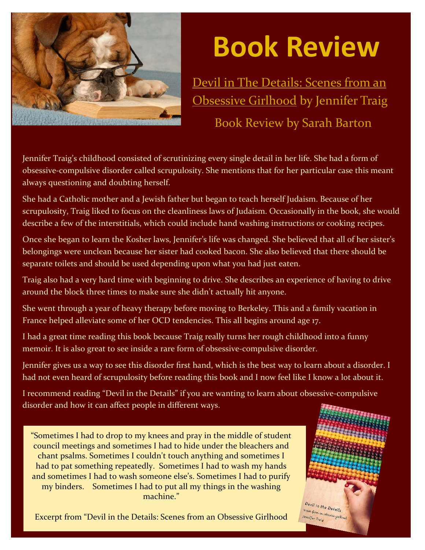

## **Book Review**

Devil in The Details: Scenes from an **Obsessive Girlhood by Jennifer Traig** Book Review by Sarah Barton

Jennifer Traig's childhood consisted of scrutinizing every single detail in her life. She had a form of obsessive‐compulsive disorder called scrupulosity. She mentions that for her particular case this meant always questioning and doubting herself.

She had a Catholic mother and a Jewish father but began to teach herself Judaism. Because of her scrupulosity, Traig liked to focus on the cleanliness laws of Judaism. Occasionally in the book, she would describe a few of the interstitials, which could include hand washing instructions or cooking recipes.

Once she began to learn the Kosher laws, Jennifer's life was changed. She believed that all of her sister's belongings were unclean because her sister had cooked bacon. She also believed that there should be separate toilets and should be used depending upon what you had just eaten.

Traig also had a very hard time with beginning to drive. She describes an experience of having to drive around the block three times to make sure she didn't actually hit anyone.

She went through a year of heavy therapy before moving to Berkeley. This and a family vacation in France helped alleviate some of her OCD tendencies. This all begins around age 17.

I had a great time reading this book because Traig really turns her rough childhood into a funny memoir. It is also great to see inside a rare form of obsessive-compulsive disorder.

Jennifer gives us a way to see this disorder first hand, which is the best way to learn about a disorder. I had not even heard of scrupulosity before reading this book and I now feel like I know a lot about it.

I recommend reading "Devil in the Details" if you are wanting to learn about obsessive‐compulsive disorder and how it can affect people in different ways.

"Sometimes I had to drop to my knees and pray in the middle of student council meetings and sometimes I had to hide under the bleachers and chant psalms. Sometimes I couldn't touch anything and sometimes I had to pat something repeatedly. Sometimes I had to wash my hands and sometimes I had to wash someone else's. Sometimes I had to purify my binders. Sometimes I had to put all my things in the washing machine."

Excerpt from "Devil in the Details: Scenes from an Obsessive Girlhood

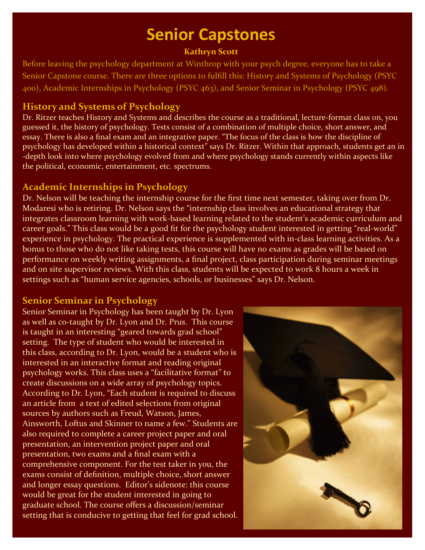## **Senior Capstones**

### **Kathryn Scott**

Before leaving the psychology department at Winthrop with your psych degree, everyone has to take a Senior Capstone course. There are three options to fulfill this: History and Systems of Psychology (PSYC 400), Academic Internships in Psychology (PSYC 463), and Senior Seminar in Psychology (PSYC 498).

### **History and Systems of Psychology**

Dr. Ritzer teaches History and Systems and describes the course as a traditional, lecture‐format class on, you guessed it, the history of psychology. Tests consist of a combination of multiple choice, short answer, and essay. There is also a final exam and an integrative paper. "The focus of the class is how the discipline of psychology has developed within a historical context" says Dr. Ritzer. Within that approach, students get an in ‐depth look into where psychology evolved from and where psychology stands currently within aspects like the political, economic, entertainment, etc. spectrums.

### **Academic Internships in Psychology**

Dr. Nelson will be teaching the internship course for the first time next semester, taking over from Dr. Modaresi who is retiring. Dr. Nelson says the "internship class involves an educational strategy that integrates classroom learning with work‐based learning related to the student's academic curriculum and career goals." This class would be a good fit for the psychology student interested in getting "real‐world" experience in psychology. The practical experience is supplemented with in‐class learning activities. As a bonus to those who do not like taking tests, this course will have no exams as grades will be based on performance on weekly writing assignments, a final project, class participation during seminar meetings and on site supervisor reviews. With this class, students will be expected to work 8 hours a week in settings such as "human service agencies, schools, or businesses" says Dr. Nelson.

### **Senior Seminar in Psychology**

Senior Seminar in Psychology has been taught by Dr. Lyon as well as co-taught by Dr. Lyon and Dr. Prus. This course is taught in an interesting "geared towards grad school" setting. The type of student who would be interested in this class, according to Dr. Lyon, would be a student who is interested in an interactive format and reading original psychology works. This class uses a "facilitative format" to create discussions on a wide array of psychology topics. According to Dr. Lyon, "Each student is required to discuss an article from a text of edited selections from original sources by authors such as Freud, Watson, James, Ainsworth, Loftus and Skinner to name a few." Students are also required to complete a career project paper and oral presentation, an intervention project paper and oral presentation, two exams and a final exam with a comprehensive component. For the test taker in you, the exams consist of definition, multiple choice, short answer and longer essay questions. Editor's sidenote: this course would be great for the student interested in going to graduate school. The course offers a discussion/seminar setting that is conducive to getting that feel for grad school.

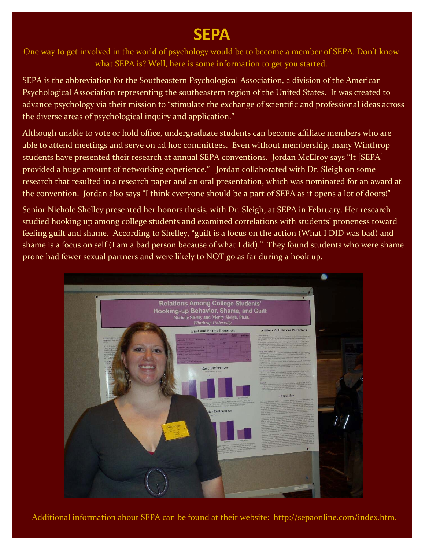### **SEPA**

One way to get involved in the world of psychology would be to become a member of SEPA. Don't know what SEPA is? Well, here is some information to get you started.

SEPA is the abbreviation for the Southeastern Psychological Association, a division of the American Psychological Association representing the southeastern region of the United States. It was created to advance psychology via their mission to "stimulate the exchange of scientific and professional ideas across the diverse areas of psychological inquiry and application."

Although unable to vote or hold office, undergraduate students can become affiliate members who are able to attend meetings and serve on ad hoc committees. Even without membership, many Winthrop students have presented their research at annual SEPA conventions. Jordan McElroy says "It [SEPA] provided a huge amount of networking experience." Jordan collaborated with Dr. Sleigh on some research that resulted in a research paper and an oral presentation, which was nominated for an award at the convention. Jordan also says "I think everyone should be a part of SEPA as it opens a lot of doors!"

Senior Nichole Shelley presented her honors thesis, with Dr. Sleigh, at SEPA in February. Her research studied hooking up among college students and examined correlations with students' proneness toward feeling guilt and shame. According to Shelley, "guilt is a focus on the action (What I DID was bad) and shame is a focus on self (I am a bad person because of what I did)." They found students who were shame prone had fewer sexual partners and were likely to NOT go as far during a hook up.



Additional information about SEPA can be found at their website: http://sepaonline.com/index.htm.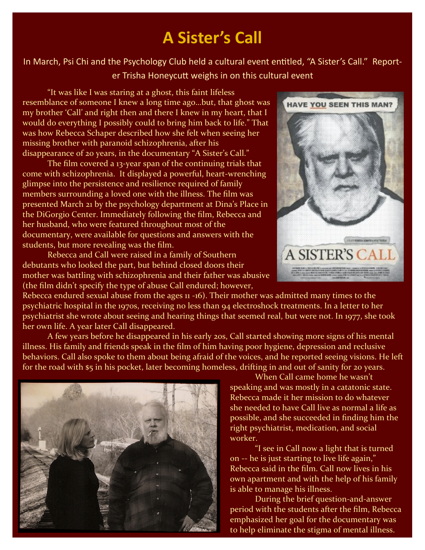### **A Sister's Call**

In March, Psi Chi and the Psychology Club held a cultural event entitled, "A Sister's Call." Reporter Trisha HoneycuƩ weighs in on this cultural event

"It was like I was staring at a ghost, this faint lifeless resemblance of someone I knew a long time ago…but, that ghost was my brother 'Call' and right then and there I knew in my heart, that I would do everything I possibly could to bring him back to life." That was how Rebecca Schaper described how she felt when seeing her missing brother with paranoid schizophrenia, after his disappearance of 20 years, in the documentary "A Sister's Call."

The film covered a 13-year span of the continuing trials that come with schizophrenia. It displayed a powerful, heart‐wrenching glimpse into the persistence and resilience required of family members surrounding a loved one with the illness. The film was presented March 21 by the psychology department at Dina's Place in the DiGorgio Center. Immediately following the film, Rebecca and her husband, who were featured throughout most of the documentary, were available for questions and answers with the students, but more revealing was the film.

Rebecca and Call were raised in a family of Southern debutants who looked the part, but behind closed doors their mother was battling with schizophrenia and their father was abusive (the film didn't specify the type of abuse Call endured; however,



Rebecca endured sexual abuse from the ages 11 ‐16). Their mother was admitted many times to the psychiatric hospital in the 1970s, receiving no less than 94 electroshock treatments. In a letter to her psychiatrist she wrote about seeing and hearing things that seemed real, but were not. In 1977, she took her own life. A year later Call disappeared.

A few years before he disappeared in his early 20s, Call started showing more signs of his mental illness. His family and friends speak in the film of him having poor hygiene, depression and reclusive behaviors. Call also spoke to them about being afraid of the voices, and he reported seeing visions. He left for the road with \$5 in his pocket, later becoming homeless, drifting in and out of sanity for 20 years.



When Call came home he wasn't speaking and was mostly in a catatonic state. Rebecca made it her mission to do whatever she needed to have Call live as normal a life as possible, and she succeeded in finding him the right psychiatrist, medication, and social worker.

"I see in Call now a light that is turned on ‐‐ he is just starting to live life again," Rebecca said in the film. Call now lives in his own apartment and with the help of his family is able to manage his illness.

During the brief question‐and‐answer period with the students after the film, Rebecca emphasized her goal for the documentary was to help eliminate the stigma of mental illness.